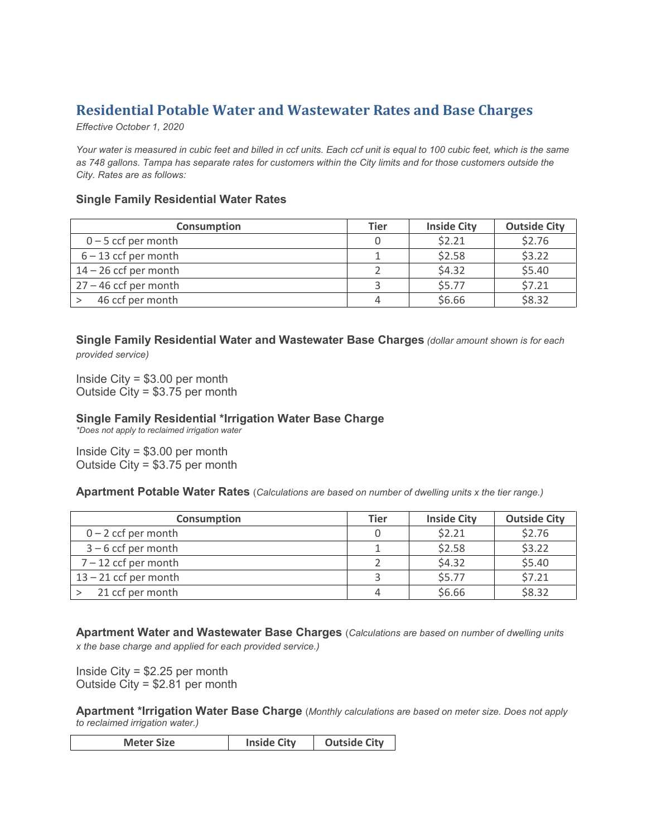# **Residential Potable Water and Wastewater Rates and Base Charges**

*Effective October 1, 2020*

*Your water is measured in cubic feet and billed in ccf units. Each ccf unit is equal to 100 cubic feet, which is the same as 748 gallons. Tampa has separate rates for customers within the City limits and for those customers outside the City. Rates are as follows:*

### **Single Family Residential Water Rates**

| <b>Consumption</b>      | <b>Tier</b> | <b>Inside City</b> | <b>Outside City</b> |
|-------------------------|-------------|--------------------|---------------------|
| $0 - 5$ ccf per month   |             | \$2.21             | \$2.76              |
| $6 - 13$ ccf per month  |             | \$2.58             | \$3.22              |
| $14 - 26$ ccf per month |             | \$4.32             | \$5.40              |
| $27 - 46$ ccf per month |             | \$5.77             | \$7.21              |
| 46 ccf per month        |             | \$6.66             | \$8.32              |

**Single Family Residential Water and Wastewater Base Charges** *(dollar amount shown is for each provided service)* 

Inside City  $= $3.00$  per month Outside City = \$3.75 per month

#### **Single Family Residential \*Irrigation Water Base Charge**

*\*Does not apply to reclaimed irrigation water*

Inside City  $= $3.00$  per month Outside City = \$3.75 per month

**Apartment Potable Water Rates** (*Calculations are based on number of dwelling units x the tier range.)*

| <b>Consumption</b>      | <b>Tier</b> | <b>Inside City</b> | <b>Outside City</b> |
|-------------------------|-------------|--------------------|---------------------|
| $0 - 2$ ccf per month   |             | \$2.21             | \$2.76              |
| $3 - 6$ ccf per month   |             | \$2.58             | \$3.22              |
| $7 - 12$ ccf per month  |             | \$4.32             | \$5.40              |
| $13 - 21$ ccf per month |             | \$5.77             | \$7.21              |
| 21 ccf per month        |             | \$6.66             | \$8.32              |

**Apartment Water and Wastewater Base Charges** (*Calculations are based on number of dwelling units x the base charge and applied for each provided service.)*

Inside City =  $$2.25$  per month Outside City = \$2.81 per month

**Apartment \*Irrigation Water Base Charge** (*Monthly calculations are based on meter size. Does not apply to reclaimed irrigation water.)*

| <b>Meter Size</b> | <b>Inside City</b> | <b>Outside City</b> |
|-------------------|--------------------|---------------------|
|-------------------|--------------------|---------------------|